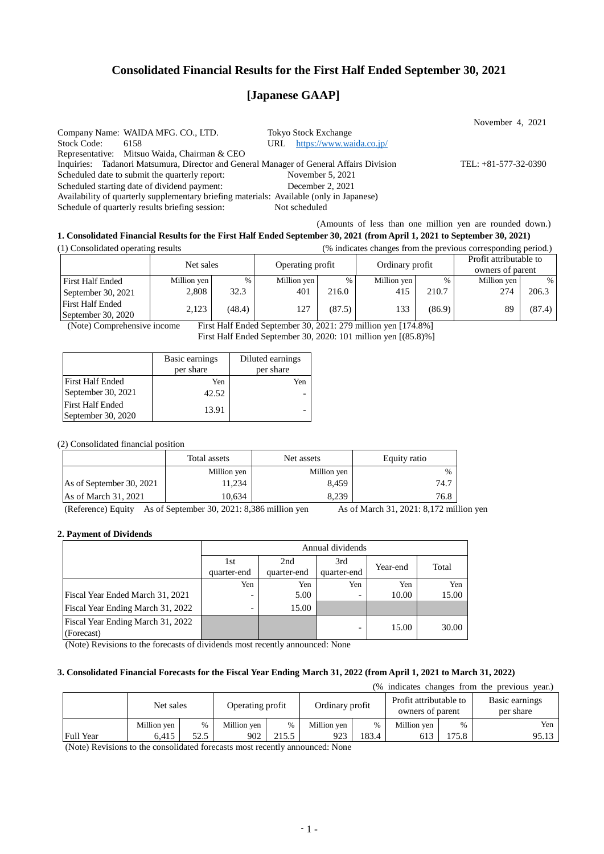## **Consolidated Financial Results for the First Half Ended September 30, 2021**

# **[Japanese GAAP]**

November 4, 2021 Company Name: WAIDA MFG. CO., LTD. Tokyo Stock Exchange Stock Code: 6158 URL <https://www.waida.co.jp/> Representative: Mitsuo Waida, Chairman & CEO Inquiries: Tadanori Matsumura, Director and General Manager of General Affairs Division TEL: +81-577-32-0390 Scheduled date to submit the quarterly report:<br>
Scheduled starting date of dividend payment:<br>
December 2, 2021 Scheduled starting date of dividend payment: Availability of quarterly supplementary briefing materials: Available (only in Japanese) Schedule of quarterly results briefing session: Not scheduled

## (Amounts of less than one million yen are rounded down.)

## **1. Consolidated Financial Results for the First Half Ended September 30, 2021 (from April 1, 2021 to September 30, 2021)**

(1) Consolidated operating results (% indicates changes from the previous corresponding period.)

|                                               | Net sales   |        | Operating profit |        | Ordinary profit |        | Profit attributable to<br>owners of parent |        |
|-----------------------------------------------|-------------|--------|------------------|--------|-----------------|--------|--------------------------------------------|--------|
| <b>First Half Ended</b>                       | Million yen | $\%$   | Million yen      | %      | Million yen     | $\%$   | Million yen                                | $\%$   |
| September 30, 2021                            | 2,808       | 32.3   | 401              | 216.0  | 415             | 210.7  | 274                                        | 206.3  |
| <b>First Half Ended</b><br>September 30, 2020 | 2.123       | (48.4) | 127              | (87.5) | 133             | (86.9) | 89                                         | (87.4) |

(Note) Comprehensive income First Half Ended September 30, 2021: 279 million yen [174.8%] First Half Ended September 30, 2020: 101 million yen [(85.8)%]

|                         | Basic earnings | Diluted earnings |  |  |
|-------------------------|----------------|------------------|--|--|
|                         | per share      | per share        |  |  |
| First Half Ended        | Yen            | Yen              |  |  |
| September 30, 2021      | 42.52          |                  |  |  |
| <b>First Half Ended</b> |                |                  |  |  |
| September 30, 2020      | 13.91          |                  |  |  |

#### (2) Consolidated financial position

|                          | Total assets | Net assets  | Equity ratio  |
|--------------------------|--------------|-------------|---------------|
|                          | Million yen  | Million yen | $\frac{0}{6}$ |
| As of September 30, 2021 | 11.234       | 8.459       | 74.7          |
| As of March 31, 2021     | 10.634       | 8.239       | 76.8          |

(Reference) Equity As of September 30, 2021: 8,386 million yen As of March 31, 2021: 8,172 million yen

#### **2. Payment of Dividends**

|                                   | Annual dividends         |             |             |          |       |  |  |
|-----------------------------------|--------------------------|-------------|-------------|----------|-------|--|--|
|                                   | 1st                      | 2nd         | 3rd         | Year-end | Total |  |  |
|                                   | quarter-end              | quarter-end | quarter-end |          |       |  |  |
|                                   | Yen                      | Yen         | Yen         | Yen      | Yen   |  |  |
| Fiscal Year Ended March 31, 2021  |                          | 5.00        |             | 10.00    | 15.00 |  |  |
| Fiscal Year Ending March 31, 2022 | $\overline{\phantom{0}}$ | 15.00       |             |          |       |  |  |
| Fiscal Year Ending March 31, 2022 |                          |             |             | 15.00    | 30.00 |  |  |
| (Forecast)                        |                          |             |             |          |       |  |  |

(Note) Revisions to the forecasts of dividends most recently announced: None

### **3. Consolidated Financial Forecasts for the Fiscal Year Ending March 31, 2022 (from April 1, 2021 to March 31, 2022)**

| (% indicates changes from the previous year.) |             |      |                  |       |                 |       |                                            |               |                             |  |
|-----------------------------------------------|-------------|------|------------------|-------|-----------------|-------|--------------------------------------------|---------------|-----------------------------|--|
|                                               | Net sales   |      | Operating profit |       | Ordinary profit |       | Profit attributable to<br>owners of parent |               | Basic earnings<br>per share |  |
|                                               | Million yen | $\%$ | Million yen      | $\%$  | Million yen     | $\%$  | Million yen                                | $\frac{0}{0}$ | Yen                         |  |
| <b>Full Year</b>                              | 6.415       | 52.5 | 902              | 215.5 | 923             | 183.4 |                                            | 175.8         | 95.13                       |  |

(Note) Revisions to the consolidated forecasts most recently announced: None